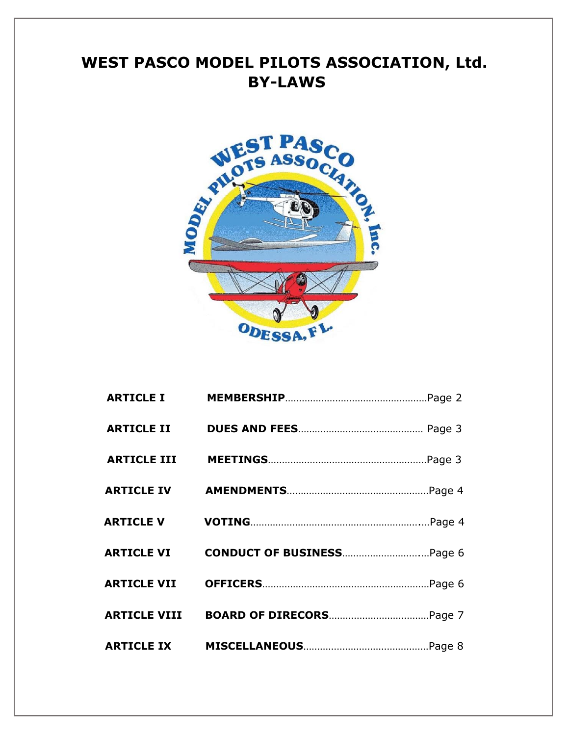# **WEST PASCO MODEL PILOTS ASSOCIATION, Ltd. BY-LAWS**

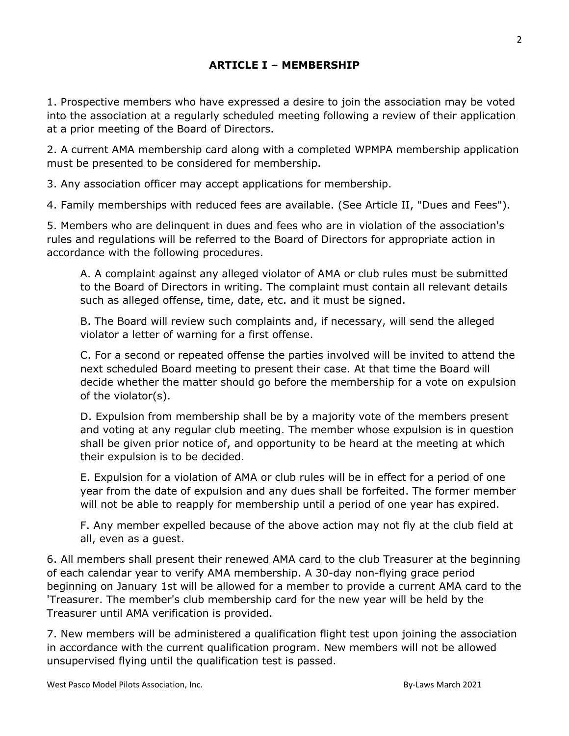# **ARTICLE I – MEMBERSHIP**

1. Prospective members who have expressed a desire to join the association may be voted into the association at a regularly scheduled meeting following a review of their application at a prior meeting of the Board of Directors.

2. A current AMA membership card along with a completed WPMPA membership application must be presented to be considered for membership.

3. Any association officer may accept applications for membership.

4. Family memberships with reduced fees are available. (See Article II, "Dues and Fees").

5. Members who are delinquent in dues and fees who are in violation of the association's rules and regulations will be referred to the Board of Directors for appropriate action in accordance with the following procedures.

A. A complaint against any alleged violator of AMA or club rules must be submitted to the Board of Directors in writing. The complaint must contain all relevant details such as alleged offense, time, date, etc. and it must be signed.

B. The Board will review such complaints and, if necessary, will send the alleged violator a letter of warning for a first offense.

C. For a second or repeated offense the parties involved will be invited to attend the next scheduled Board meeting to present their case. At that time the Board will decide whether the matter should go before the membership for a vote on expulsion of the violator(s).

D. Expulsion from membership shall be by a majority vote of the members present and voting at any regular club meeting. The member whose expulsion is in question shall be given prior notice of, and opportunity to be heard at the meeting at which their expulsion is to be decided.

E. Expulsion for a violation of AMA or club rules will be in effect for a period of one year from the date of expulsion and any dues shall be forfeited. The former member will not be able to reapply for membership until a period of one year has expired.

F. Any member expelled because of the above action may not fly at the club field at all, even as a guest.

6. All members shall present their renewed AMA card to the club Treasurer at the beginning of each calendar year to verify AMA membership. A 30-day non-flying grace period beginning on January 1st will be allowed for a member to provide a current AMA card to the 'Treasurer. The member's club membership card for the new year will be held by the Treasurer until AMA verification is provided.

7. New members will be administered a qualification flight test upon joining the association in accordance with the current qualification program. New members will not be allowed unsupervised flying until the qualification test is passed.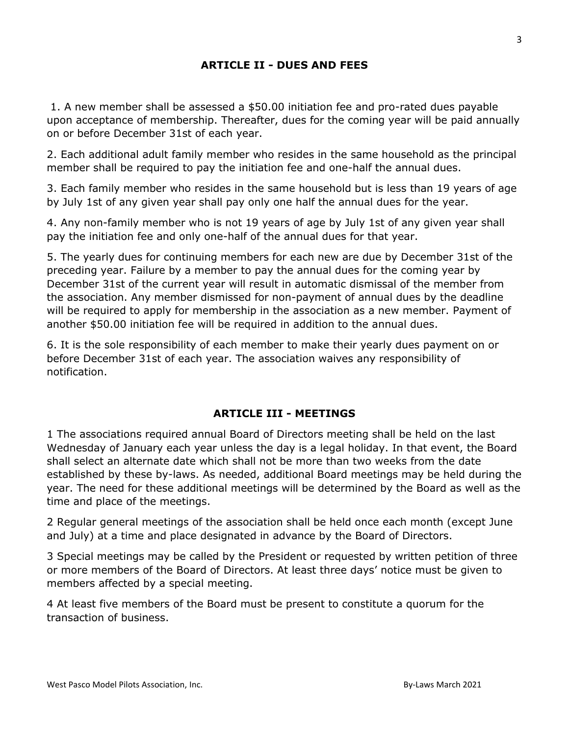## **ARTICLE II - DUES AND FEES**

1. A new member shall be assessed a \$50.00 initiation fee and pro-rated dues payable upon acceptance of membership. Thereafter, dues for the coming year will be paid annually on or before December 31st of each year.

2. Each additional adult family member who resides in the same household as the principal member shall be required to pay the initiation fee and one-half the annual dues.

3. Each family member who resides in the same household but is less than 19 years of age by July 1st of any given year shall pay only one half the annual dues for the year.

4. Any non-family member who is not 19 years of age by July 1st of any given year shall pay the initiation fee and only one-half of the annual dues for that year.

5. The yearly dues for continuing members for each new are due by December 31st of the preceding year. Failure by a member to pay the annual dues for the coming year by December 31st of the current year will result in automatic dismissal of the member from the association. Any member dismissed for non-payment of annual dues by the deadline will be required to apply for membership in the association as a new member. Payment of another \$50.00 initiation fee will be required in addition to the annual dues.

6. It is the sole responsibility of each member to make their yearly dues payment on or before December 31st of each year. The association waives any responsibility of notification.

#### **ARTICLE III - MEETINGS**

1 The associations required annual Board of Directors meeting shall be held on the last Wednesday of January each year unless the day is a legal holiday. In that event, the Board shall select an alternate date which shall not be more than two weeks from the date established by these by-laws. As needed, additional Board meetings may be held during the year. The need for these additional meetings will be determined by the Board as well as the time and place of the meetings.

2 Regular general meetings of the association shall be held once each month (except June and July) at a time and place designated in advance by the Board of Directors.

3 Special meetings may be called by the President or requested by written petition of three or more members of the Board of Directors. At least three days' notice must be given to members affected by a special meeting.

4 At least five members of the Board must be present to constitute a quorum for the transaction of business.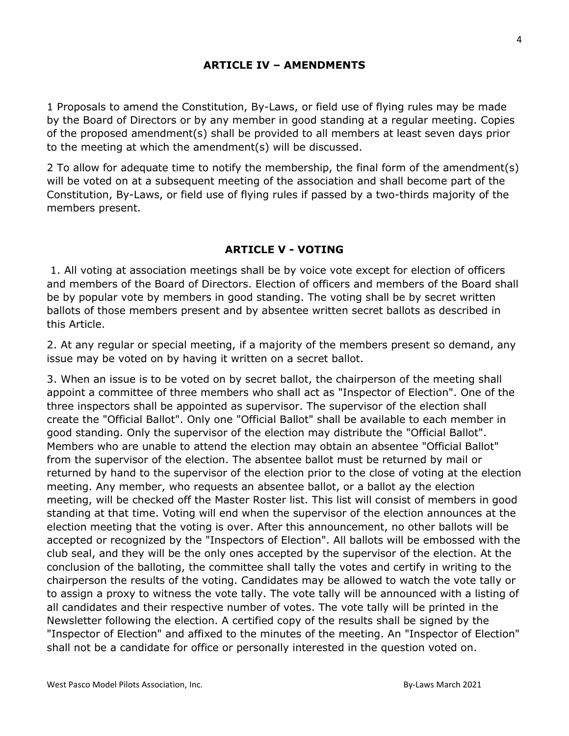### **ARTICLE IV – AMENDMENTS**

1 Proposals to amend the Constitution, By-Laws, or field use of flying rules may be made by the Board of Directors or by any member in good standing at a regular meeting. Copies of the proposed amendment(s) shall be provided to all members at least seven days prior to the meeting at which the amendment(s) will be discussed.

2 To allow for adequate time to notify the membership, the final form of the amendment(s) will be voted on at a subsequent meeting of the association and shall become part of the Constitution, By-Laws, or field use of flying rules if passed by a two-thirds majority of the members present.

#### **ARTICLE V - VOTING**

1. All voting at association meetings shall be by voice vote except for election of officers and members of the Board of Directors. Election of officers and members of the Board shall be by popular vote by members in good standing. The voting shall be by secret written ballots of those members present and by absentee written secret ballots as described in this Article.

2. At any regular or special meeting, if a majority of the members present so demand, any issue may be voted on by having it written on a secret ballot.

3. When an issue is to be voted on by secret ballot, the chairperson of the meeting shall appoint a committee of three members who shall act as "Inspector of Election". One of the three inspectors shall be appointed as supervisor. The supervisor of the election shall create the "Official Ballot". Only one "Official Ballot" shall be available to each member in good standing. Only the supervisor of the election may distribute the "Official Ballot". Members who are unable to attend the election may obtain an absentee "Official Ballot" from the supervisor of the election. The absentee ballot must be returned by mail or returned by hand to the supervisor of the election prior to the close of voting at the election meeting. Any member, who requests an absentee ballot, or a ballot ay the election meeting, will be checked off the Master Roster list. This list will consist of members in good standing at that time. Voting will end when the supervisor of the election announces at the election meeting that the voting is over. After this announcement, no other ballots will be accepted or recognized by the "Inspectors of Election". All ballots will be embossed with the club seal, and they will be the only ones accepted by the supervisor of the election. At the conclusion of the balloting, the committee shall tally the votes and certify in writing to the chairperson the results of the voting. Candidates may be allowed to watch the vote tally or to assign a proxy to witness the vote tally. The vote tally will be announced with a listing of all candidates and their respective number of votes. The vote tally will be printed in the Newsletter following the election. A certified copy of the results shall be signed by the "Inspector of Election" and affixed to the minutes of the meeting. An "Inspector of Election" shall not be a candidate for office or personally interested in the question voted on.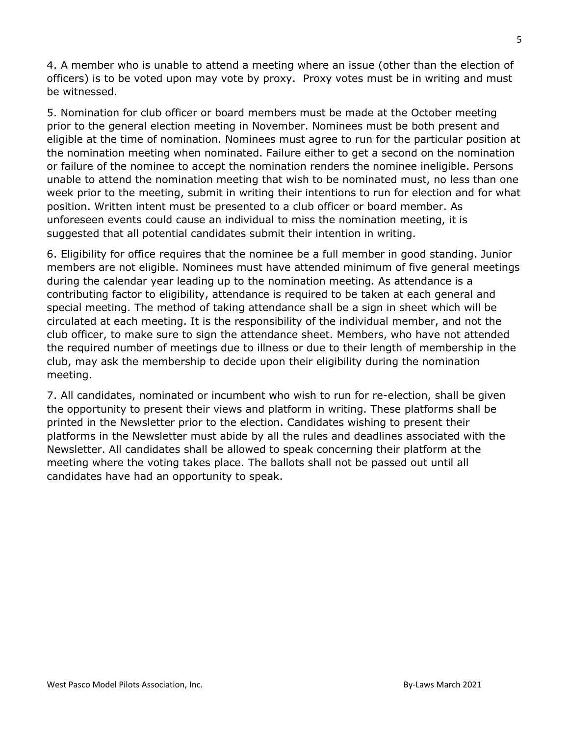4. A member who is unable to attend a meeting where an issue (other than the election of officers) is to be voted upon may vote by proxy. Proxy votes must be in writing and must be witnessed.

5. Nomination for club officer or board members must be made at the October meeting prior to the general election meeting in November. Nominees must be both present and eligible at the time of nomination. Nominees must agree to run for the particular position at the nomination meeting when nominated. Failure either to get a second on the nomination or failure of the nominee to accept the nomination renders the nominee ineligible. Persons unable to attend the nomination meeting that wish to be nominated must, no less than one week prior to the meeting, submit in writing their intentions to run for election and for what position. Written intent must be presented to a club officer or board member. As unforeseen events could cause an individual to miss the nomination meeting, it is suggested that all potential candidates submit their intention in writing.

6. Eligibility for office requires that the nominee be a full member in good standing. Junior members are not eligible. Nominees must have attended minimum of five general meetings during the calendar year leading up to the nomination meeting. As attendance is a contributing factor to eligibility, attendance is required to be taken at each general and special meeting. The method of taking attendance shall be a sign in sheet which will be circulated at each meeting. It is the responsibility of the individual member, and not the club officer, to make sure to sign the attendance sheet. Members, who have not attended the required number of meetings due to illness or due to their length of membership in the club, may ask the membership to decide upon their eligibility during the nomination meeting.

7. All candidates, nominated or incumbent who wish to run for re-election, shall be given the opportunity to present their views and platform in writing. These platforms shall be printed in the Newsletter prior to the election. Candidates wishing to present their platforms in the Newsletter must abide by all the rules and deadlines associated with the Newsletter. All candidates shall be allowed to speak concerning their platform at the meeting where the voting takes place. The ballots shall not be passed out until all candidates have had an opportunity to speak.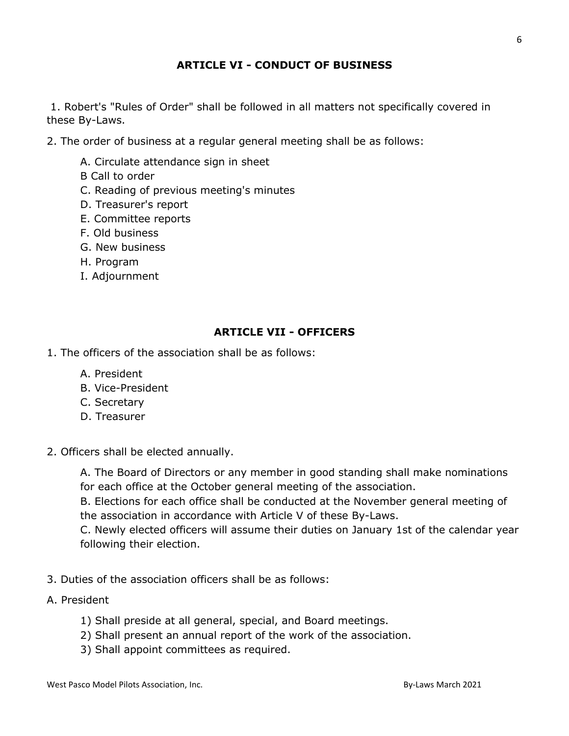## **ARTICLE VI - CONDUCT OF BUSINESS**

1. Robert's "Rules of Order" shall be followed in all matters not specifically covered in these By-Laws.

- 2. The order of business at a regular general meeting shall be as follows:
	- A. Circulate attendance sign in sheet
	- B Call to order
	- C. Reading of previous meeting's minutes
	- D. Treasurer's report
	- E. Committee reports
	- F. Old business
	- G. New business
	- H. Program
	- I. Adjournment

### **ARTICLE VII - OFFICERS**

- 1. The officers of the association shall be as follows:
	- A. President
	- B. Vice-President
	- C. Secretary
	- D. Treasurer
- 2. Officers shall be elected annually.

A. The Board of Directors or any member in good standing shall make nominations for each office at the October general meeting of the association.

B. Elections for each office shall be conducted at the November general meeting of the association in accordance with Article V of these By-Laws.

C. Newly elected officers will assume their duties on January 1st of the calendar year following their election.

- 3. Duties of the association officers shall be as follows:
- A. President
	- 1) Shall preside at all general, special, and Board meetings.
	- 2) Shall present an annual report of the work of the association.
	- 3) Shall appoint committees as required.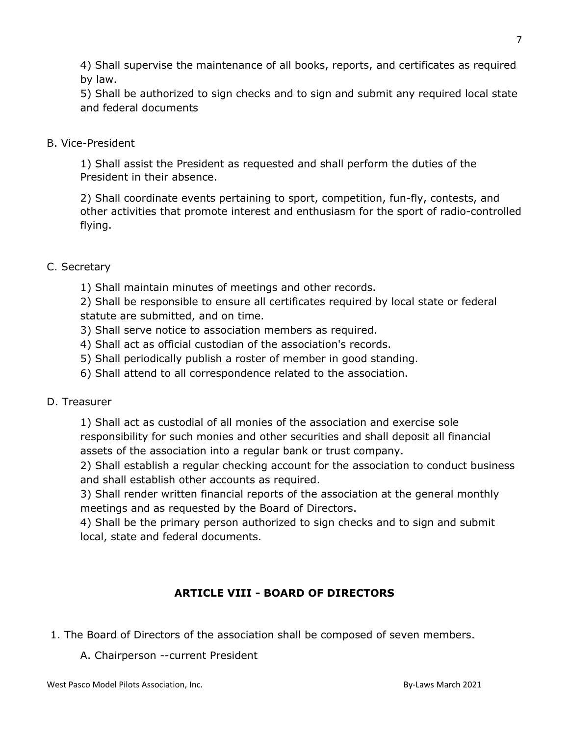4) Shall supervise the maintenance of all books, reports, and certificates as required by law.

5) Shall be authorized to sign checks and to sign and submit any required local state and federal documents

#### B. Vice-President

1) Shall assist the President as requested and shall perform the duties of the President in their absence.

2) Shall coordinate events pertaining to sport, competition, fun-fly, contests, and other activities that promote interest and enthusiasm for the sport of radio-controlled flying.

### C. Secretary

1) Shall maintain minutes of meetings and other records.

2) Shall be responsible to ensure all certificates required by local state or federal statute are submitted, and on time.

- 3) Shall serve notice to association members as required.
- 4) Shall act as official custodian of the association's records.
- 5) Shall periodically publish a roster of member in good standing.
- 6) Shall attend to all correspondence related to the association.

# D. Treasurer

1) Shall act as custodial of all monies of the association and exercise sole responsibility for such monies and other securities and shall deposit all financial assets of the association into a regular bank or trust company.

2) Shall establish a regular checking account for the association to conduct business and shall establish other accounts as required.

3) Shall render written financial reports of the association at the general monthly meetings and as requested by the Board of Directors.

4) Shall be the primary person authorized to sign checks and to sign and submit local, state and federal documents.

# **ARTICLE VIII - BOARD OF DIRECTORS**

- 1. The Board of Directors of the association shall be composed of seven members.
	- A. Chairperson --current President